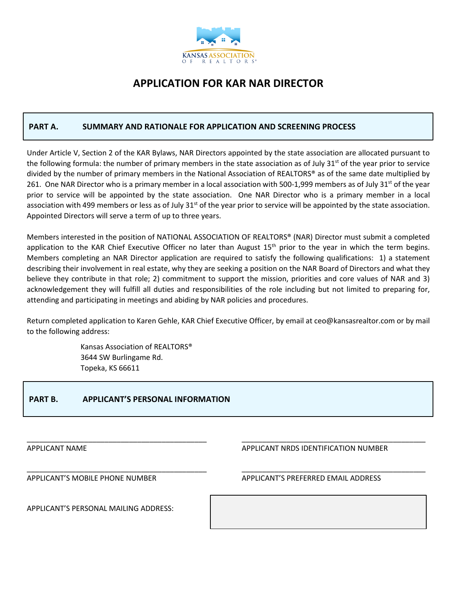

# **APPLICATION FOR KAR NAR DIRECTOR**

### **PART A. SUMMARY AND RATIONALE FOR APPLICATION AND SCREENING PROCESS**

Under Article V, Section 2 of the KAR Bylaws, NAR Directors appointed by the state association are allocated pursuant to the following formula: the number of primary members in the state association as of July  $31^{st}$  of the year prior to service divided by the number of primary members in the National Association of REALTORS® as of the same date multiplied by 261. One NAR Director who is a primary member in a local association with 500-1,999 members as of July 31<sup>st</sup> of the year prior to service will be appointed by the state association. One NAR Director who is a primary member in a local association with 499 members or less as of July  $31^{st}$  of the year prior to service will be appointed by the state association. Appointed Directors will serve a term of up to three years.

Members interested in the position of NATIONAL ASSOCIATION OF REALTORS® (NAR) Director must submit a completed application to the KAR Chief Executive Officer no later than August 15<sup>th</sup> prior to the year in which the term begins. Members completing an NAR Director application are required to satisfy the following qualifications: 1) a statement describing their involvement in real estate, why they are seeking a position on the NAR Board of Directors and what they believe they contribute in that role; 2) commitment to support the mission, priorities and core values of NAR and 3) acknowledgement they will fulfill all duties and responsibilities of the role including but not limited to preparing for, attending and participating in meetings and abiding by NAR policies and procedures.

Return completed application to Karen Gehle, KAR Chief Executive Officer, by email at ceo@kansasrealtor.com or by mail to the following address:

\_\_\_\_\_\_\_\_\_\_\_\_\_\_\_\_\_\_\_\_\_\_\_\_\_\_\_\_\_\_\_\_\_\_\_\_\_\_\_\_\_\_\_\_ \_\_\_\_\_\_\_\_\_\_\_\_\_\_\_\_\_\_\_\_\_\_\_\_\_\_\_\_\_\_\_\_\_\_\_\_\_\_\_\_\_\_\_\_\_

\_\_\_\_\_\_\_\_\_\_\_\_\_\_\_\_\_\_\_\_\_\_\_\_\_\_\_\_\_\_\_\_\_\_\_\_\_\_\_\_\_\_\_\_ \_\_\_\_\_\_\_\_\_\_\_\_\_\_\_\_\_\_\_\_\_\_\_\_\_\_\_\_\_\_\_\_\_\_\_\_\_\_\_\_\_\_\_\_\_

 Kansas Association of REALTORS® 3644 SW Burlingame Rd. Topeka, KS 66611

#### **PART B. APPLICANT'S PERSONAL INFORMATION BURGEROUND CHECK**

APPLICANT NAME APPLICANT NRDS IDENTIFICATION NUMBER

APPLICANT'S MOBILE PHONE NUMBER APPLICANT'S PREFERRED EMAIL ADDRESS

APPLICANT'S PERSONAL MAILING ADDRESS: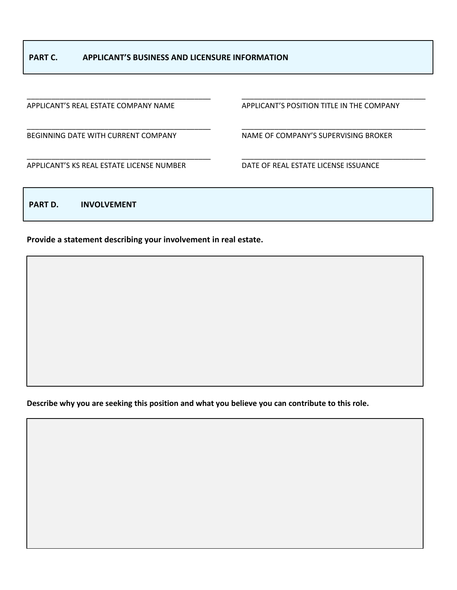\_\_\_\_\_\_\_\_\_\_\_\_\_\_\_\_\_\_\_\_\_\_\_\_\_\_\_\_\_\_\_\_\_\_\_\_\_\_\_\_\_\_\_\_\_ \_\_\_\_\_\_\_\_\_\_\_\_\_\_\_\_\_\_\_\_\_\_\_\_\_\_\_\_\_\_\_\_\_\_\_\_\_\_\_\_\_\_\_\_\_

\_\_\_\_\_\_\_\_\_\_\_\_\_\_\_\_\_\_\_\_\_\_\_\_\_\_\_\_\_\_\_\_\_\_\_\_\_\_\_\_\_\_\_\_\_ \_\_\_\_\_\_\_\_\_\_\_\_\_\_\_\_\_\_\_\_\_\_\_\_\_\_\_\_\_\_\_\_\_\_\_\_\_\_\_\_\_\_\_\_\_

\_\_\_\_\_\_\_\_\_\_\_\_\_\_\_\_\_\_\_\_\_\_\_\_\_\_\_\_\_\_\_\_\_\_\_\_\_\_\_\_\_\_\_\_\_ \_\_\_\_\_\_\_\_\_\_\_\_\_\_\_\_\_\_\_\_\_\_\_\_\_\_\_\_\_\_\_\_\_\_\_\_\_\_\_\_\_\_\_\_\_

APPLICANT'S REAL ESTATE COMPANY NAME APPLICANT'S POSITION TITLE IN THE COMPANY

BEGINNING DATE WITH CURRENT COMPANY NAME OF COMPANY'S SUPERVISING BROKER

APPLICANT'S KS REAL ESTATE LICENSE NUMBER DATE OF REAL ESTATE LICENSE ISSUANCE

**PART D. INVOLVEMENT** 

## **Provide a statement describing your involvement in real estate.**

**Describe why you are seeking this position and what you believe you can contribute to this role.**